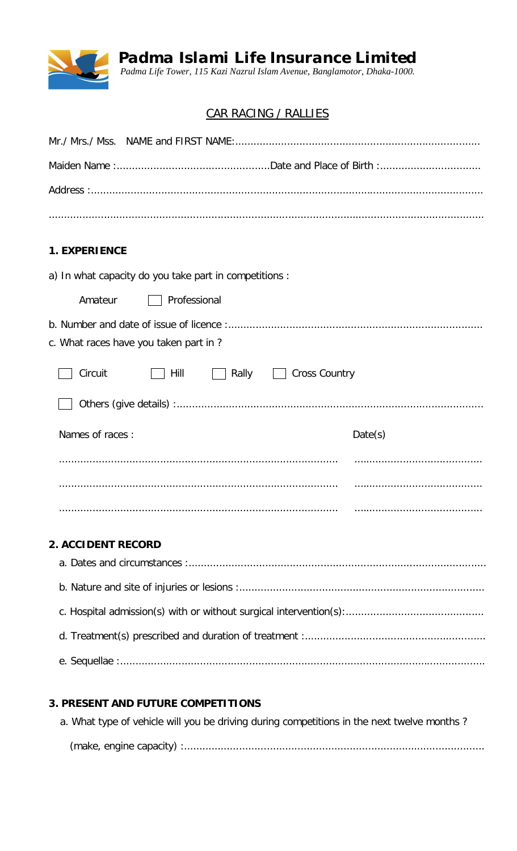

Padma Islami Life Insurance Limited<br>Padma Life Tower, 115 Kazi Nazrul Islam Avenue, Banglamotor, Dhaka-1000.

## CAR RACING / RALLIES

| <b>1. EXPERIENCE</b>                                             |         |  |  |  |  |  |
|------------------------------------------------------------------|---------|--|--|--|--|--|
| a) In what capacity do you take part in competitions :           |         |  |  |  |  |  |
| Amateur<br>Professional                                          |         |  |  |  |  |  |
| c. What races have you taken part in?                            |         |  |  |  |  |  |
| Circuit<br>Rally<br><b>Cross Country</b><br>Hill<br>$\mathbf{1}$ |         |  |  |  |  |  |
|                                                                  |         |  |  |  |  |  |
| Names of races:                                                  | Date(s) |  |  |  |  |  |
|                                                                  |         |  |  |  |  |  |
|                                                                  |         |  |  |  |  |  |
|                                                                  |         |  |  |  |  |  |
| 2. ACCIDENT RECORD                                               |         |  |  |  |  |  |
|                                                                  |         |  |  |  |  |  |

## 3. PRESENT AND FUTURE COMPETITIONS

| a. What type of vehicle will you be driving during competitions in the next twelve months? |
|--------------------------------------------------------------------------------------------|
|                                                                                            |